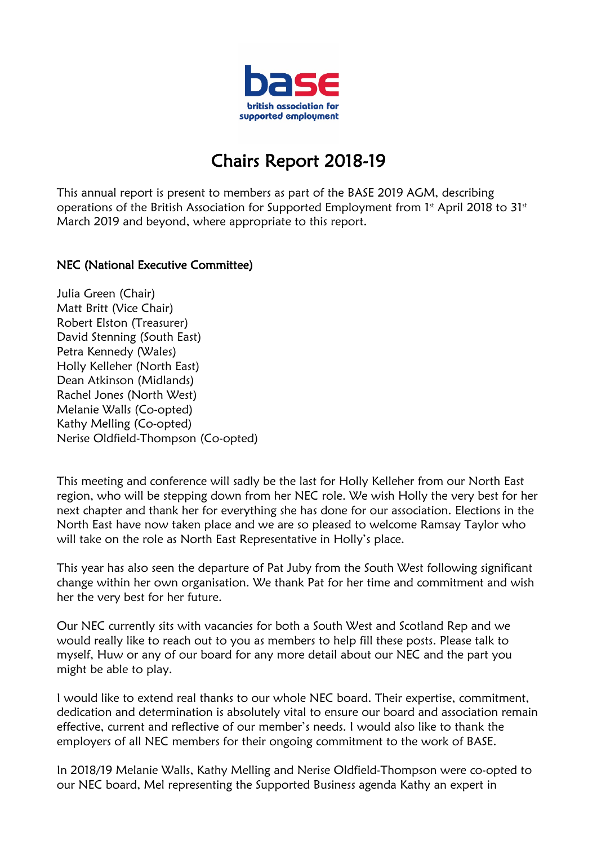

## Chairs Report 2018-19

This annual report is present to members as part of the BASE 2019 AGM, describing operations of the British Association for Supported Employment from  $1<sup>st</sup>$  April 2018 to  $31<sup>st</sup>$ March 2019 and beyond, where appropriate to this report.

## NEC (National Executive Committee)

Julia Green (Chair) Matt Britt (Vice Chair) Robert Elston (Treasurer) David Stenning (South East) Petra Kennedy (Wales) Holly Kelleher (North East) Dean Atkinson (Midlands) Rachel Jones (North West) Melanie Walls (Co-opted) Kathy Melling (Co-opted) Nerise Oldfield-Thompson (Co-opted)

This meeting and conference will sadly be the last for Holly Kelleher from our North East region, who will be stepping down from her NEC role. We wish Holly the very best for her next chapter and thank her for everything she has done for our association. Elections in the North East have now taken place and we are so pleased to welcome Ramsay Taylor who will take on the role as North East Representative in Holly's place.

This year has also seen the departure of Pat Juby from the South West following significant change within her own organisation. We thank Pat for her time and commitment and wish her the very best for her future.

Our NEC currently sits with vacancies for both a South West and Scotland Rep and we would really like to reach out to you as members to help fill these posts. Please talk to myself, Huw or any of our board for any more detail about our NEC and the part you might be able to play.

I would like to extend real thanks to our whole NEC board. Their expertise, commitment, dedication and determination is absolutely vital to ensure our board and association remain effective, current and reflective of our member's needs. I would also like to thank the employers of all NEC members for their ongoing commitment to the work of BASE.

In 2018/19 Melanie Walls, Kathy Melling and Nerise Oldfield-Thompson were co-opted to our NEC board, Mel representing the Supported Business agenda Kathy an expert in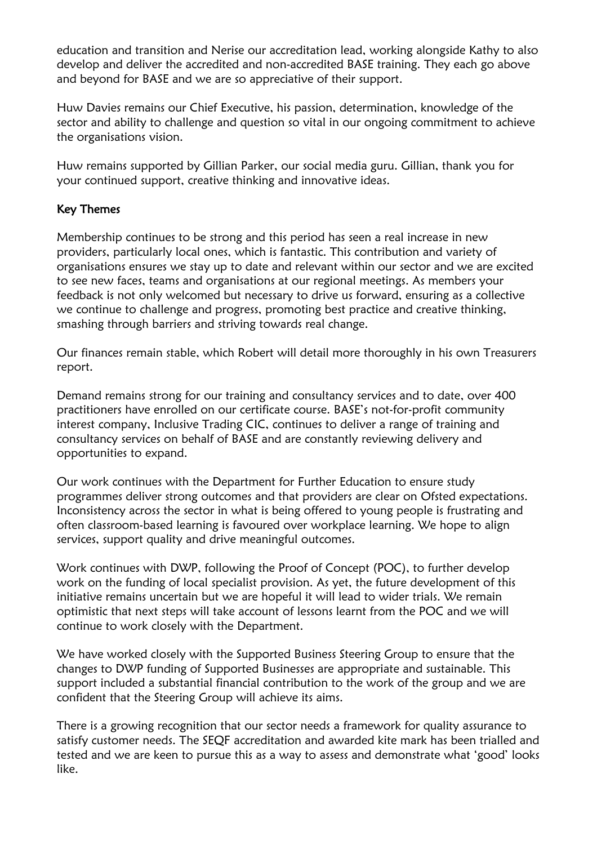education and transition and Nerise our accreditation lead, working alongside Kathy to also develop and deliver the accredited and non-accredited BASE training. They each go above and beyond for BASE and we are so appreciative of their support.

Huw Davies remains our Chief Executive, his passion, determination, knowledge of the sector and ability to challenge and question so vital in our ongoing commitment to achieve the organisations vision.

Huw remains supported by Gillian Parker, our social media guru. Gillian, thank you for your continued support, creative thinking and innovative ideas.

## Key Themes

Membership continues to be strong and this period has seen a real increase in new providers, particularly local ones, which is fantastic. This contribution and variety of organisations ensures we stay up to date and relevant within our sector and we are excited to see new faces, teams and organisations at our regional meetings. As members your feedback is not only welcomed but necessary to drive us forward, ensuring as a collective we continue to challenge and progress, promoting best practice and creative thinking, smashing through barriers and striving towards real change.

Our finances remain stable, which Robert will detail more thoroughly in his own Treasurers report.

Demand remains strong for our training and consultancy services and to date, over 400 practitioners have enrolled on our certificate course. BASE's not-for-profit community interest company, Inclusive Trading CIC, continues to deliver a range of training and consultancy services on behalf of BASE and are constantly reviewing delivery and opportunities to expand.

Our work continues with the Department for Further Education to ensure study programmes deliver strong outcomes and that providers are clear on Ofsted expectations. Inconsistency across the sector in what is being offered to young people is frustrating and often classroom-based learning is favoured over workplace learning. We hope to align services, support quality and drive meaningful outcomes.

Work continues with DWP, following the Proof of Concept (POC), to further develop work on the funding of local specialist provision. As yet, the future development of this initiative remains uncertain but we are hopeful it will lead to wider trials. We remain optimistic that next steps will take account of lessons learnt from the POC and we will continue to work closely with the Department.

We have worked closely with the Supported Business Steering Group to ensure that the changes to DWP funding of Supported Businesses are appropriate and sustainable. This support included a substantial financial contribution to the work of the group and we are confident that the Steering Group will achieve its aims.

There is a growing recognition that our sector needs a framework for quality assurance to satisfy customer needs. The SEQF accreditation and awarded kite mark has been trialled and tested and we are keen to pursue this as a way to assess and demonstrate what 'good' looks like.